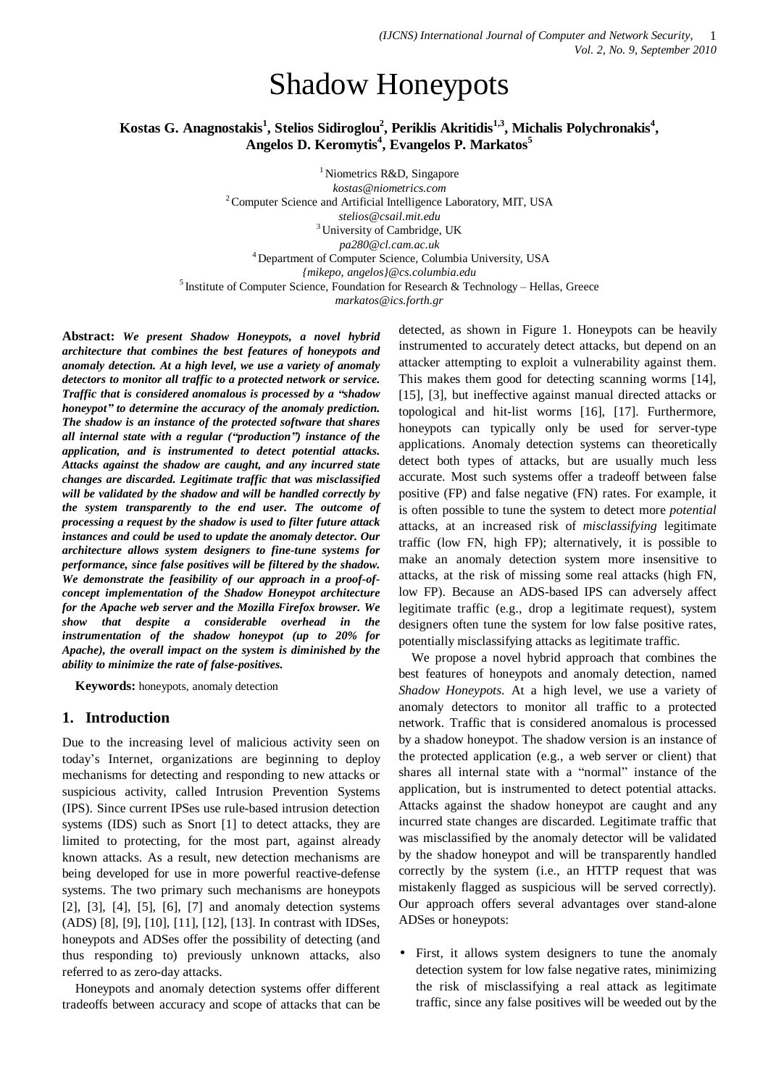# Shadow Honeypots

# **Kostas G. Anagnostakis<sup>1</sup> , Stelios Sidiroglou<sup>2</sup> , Periklis Akritidis1,3 , Michalis Polychronakis<sup>4</sup> , Angelos D. Keromytis<sup>4</sup> , Evangelos P. Markatos<sup>5</sup>**

<sup>1</sup> Niometrics R&D, Singapore *kostas@niometrics.com*  <sup>2</sup> Computer Science and Artificial Intelligence Laboratory, MIT, USA *stelios@csail.mit.edu*  <sup>3</sup> University of Cambridge, UK *pa280@cl.cam.ac.uk*  <sup>4</sup>Department of Computer Science, Columbia University, USA *{mikepo, angelos}@cs.columbia.edu* <sup>5</sup> Institute of Computer Science, Foundation for Research & Technology – Hellas, Greece *markatos@ics.forth.gr* 

**Abstract:** *We present Shadow Honeypots, a novel hybrid architecture that combines the best features of honeypots and anomaly detection. At a high level, we use a variety of anomaly detectors to monitor all traffic to a protected network or service. Traffic that is considered anomalous is processed by a "shadow honeypot" to determine the accuracy of the anomaly prediction. The shadow is an instance of the protected software that shares all internal state with a regular ("production") instance of the application, and is instrumented to detect potential attacks. Attacks against the shadow are caught, and any incurred state changes are discarded. Legitimate traffic that was misclassified will be validated by the shadow and will be handled correctly by the system transparently to the end user. The outcome of processing a request by the shadow is used to filter future attack instances and could be used to update the anomaly detector. Our architecture allows system designers to fine-tune systems for performance, since false positives will be filtered by the shadow. We demonstrate the feasibility of our approach in a proof-ofconcept implementation of the Shadow Honeypot architecture for the Apache web server and the Mozilla Firefox browser. We show that despite a considerable overhead in the instrumentation of the shadow honeypot (up to 20% for Apache), the overall impact on the system is diminished by the ability to minimize the rate of false-positives.* 

**Keywords:** honeypots, anomaly detection

## **1. Introduction**

Due to the increasing level of malicious activity seen on today's Internet, organizations are beginning to deploy mechanisms for detecting and responding to new attacks or suspicious activity, called Intrusion Prevention Systems (IPS). Since current IPSes use rule-based intrusion detection systems (IDS) such as Snort [1] to detect attacks, they are limited to protecting, for the most part, against already known attacks. As a result, new detection mechanisms are being developed for use in more powerful reactive-defense systems. The two primary such mechanisms are honeypots [2], [3], [4], [5], [6], [7] and anomaly detection systems (ADS) [8], [9], [10], [11], [12], [13]. In contrast with IDSes, honeypots and ADSes offer the possibility of detecting (and thus responding to) previously unknown attacks, also referred to as zero-day attacks.

Honeypots and anomaly detection systems offer different tradeoffs between accuracy and scope of attacks that can be

detected, as shown in Figure 1. Honeypots can be heavily instrumented to accurately detect attacks, but depend on an attacker attempting to exploit a vulnerability against them. This makes them good for detecting scanning worms [14], [15], [3], but ineffective against manual directed attacks or topological and hit-list worms [16], [17]. Furthermore, honeypots can typically only be used for server-type applications. Anomaly detection systems can theoretically detect both types of attacks, but are usually much less accurate. Most such systems offer a tradeoff between false positive (FP) and false negative (FN) rates. For example, it is often possible to tune the system to detect more *potential* attacks, at an increased risk of *misclassifying* legitimate traffic (low FN, high FP); alternatively, it is possible to make an anomaly detection system more insensitive to attacks, at the risk of missing some real attacks (high FN, low FP). Because an ADS-based IPS can adversely affect legitimate traffic (e.g., drop a legitimate request), system designers often tune the system for low false positive rates, potentially misclassifying attacks as legitimate traffic.

We propose a novel hybrid approach that combines the best features of honeypots and anomaly detection, named *Shadow Honeypots*. At a high level, we use a variety of anomaly detectors to monitor all traffic to a protected network. Traffic that is considered anomalous is processed by a shadow honeypot. The shadow version is an instance of the protected application (e.g., a web server or client) that shares all internal state with a "normal" instance of the application, but is instrumented to detect potential attacks. Attacks against the shadow honeypot are caught and any incurred state changes are discarded. Legitimate traffic that was misclassified by the anomaly detector will be validated by the shadow honeypot and will be transparently handled correctly by the system (i.e., an HTTP request that was mistakenly flagged as suspicious will be served correctly). Our approach offers several advantages over stand-alone ADSes or honeypots:

First, it allows system designers to tune the anomaly detection system for low false negative rates, minimizing the risk of misclassifying a real attack as legitimate traffic, since any false positives will be weeded out by the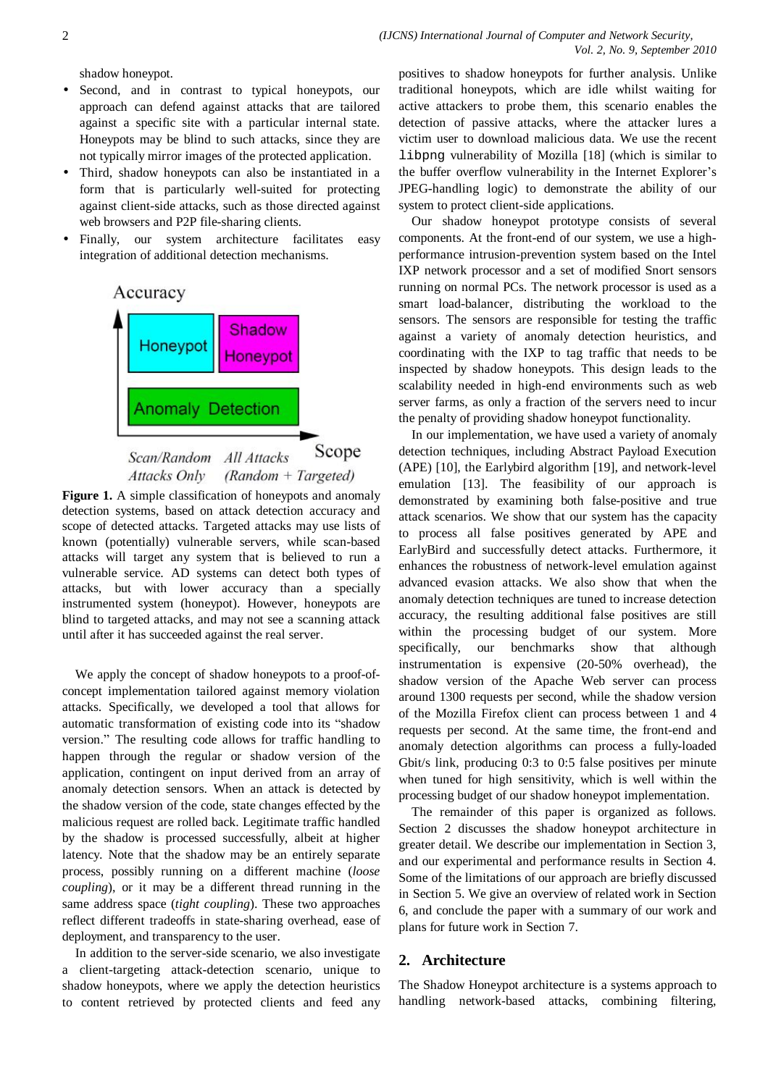shadow honeypot.

- Second, and in contrast to typical honeypots, our approach can defend against attacks that are tailored against a specific site with a particular internal state. Honeypots may be blind to such attacks, since they are not typically mirror images of the protected application.
- Third, shadow honeypots can also be instantiated in a form that is particularly well-suited for protecting against client-side attacks, such as those directed against web browsers and P2P file-sharing clients.
- Finally, our system architecture facilitates easy integration of additional detection mechanisms.



**Figure 1.** A simple classification of honeypots and anomaly detection systems, based on attack detection accuracy and scope of detected attacks. Targeted attacks may use lists of known (potentially) vulnerable servers, while scan-based attacks will target any system that is believed to run a vulnerable service. AD systems can detect both types of attacks, but with lower accuracy than a specially instrumented system (honeypot). However, honeypots are blind to targeted attacks, and may not see a scanning attack until after it has succeeded against the real server.

We apply the concept of shadow honeypots to a proof-ofconcept implementation tailored against memory violation attacks. Specifically, we developed a tool that allows for automatic transformation of existing code into its "shadow version." The resulting code allows for traffic handling to happen through the regular or shadow version of the application, contingent on input derived from an array of anomaly detection sensors. When an attack is detected by the shadow version of the code, state changes effected by the malicious request are rolled back. Legitimate traffic handled by the shadow is processed successfully, albeit at higher latency. Note that the shadow may be an entirely separate process, possibly running on a different machine (*loose coupling*), or it may be a different thread running in the same address space (*tight coupling*). These two approaches reflect different tradeoffs in state-sharing overhead, ease of deployment, and transparency to the user.

In addition to the server-side scenario, we also investigate a client-targeting attack-detection scenario, unique to shadow honeypots, where we apply the detection heuristics to content retrieved by protected clients and feed any positives to shadow honeypots for further analysis. Unlike traditional honeypots, which are idle whilst waiting for active attackers to probe them, this scenario enables the detection of passive attacks, where the attacker lures a victim user to download malicious data. We use the recent libpng vulnerability of Mozilla [18] (which is similar to the buffer overflow vulnerability in the Internet Explorer's JPEG-handling logic) to demonstrate the ability of our system to protect client-side applications.

Our shadow honeypot prototype consists of several components. At the front-end of our system, we use a highperformance intrusion-prevention system based on the Intel IXP network processor and a set of modified Snort sensors running on normal PCs. The network processor is used as a smart load-balancer, distributing the workload to the sensors. The sensors are responsible for testing the traffic against a variety of anomaly detection heuristics, and coordinating with the IXP to tag traffic that needs to be inspected by shadow honeypots. This design leads to the scalability needed in high-end environments such as web server farms, as only a fraction of the servers need to incur the penalty of providing shadow honeypot functionality.

In our implementation, we have used a variety of anomaly detection techniques, including Abstract Payload Execution (APE) [10], the Earlybird algorithm [19], and network-level emulation [13]. The feasibility of our approach is demonstrated by examining both false-positive and true attack scenarios. We show that our system has the capacity to process all false positives generated by APE and EarlyBird and successfully detect attacks. Furthermore, it enhances the robustness of network-level emulation against advanced evasion attacks. We also show that when the anomaly detection techniques are tuned to increase detection accuracy, the resulting additional false positives are still within the processing budget of our system. More specifically, our benchmarks show that although instrumentation is expensive (20-50% overhead), the shadow version of the Apache Web server can process around 1300 requests per second, while the shadow version of the Mozilla Firefox client can process between 1 and 4 requests per second. At the same time, the front-end and anomaly detection algorithms can process a fully-loaded Gbit/s link, producing 0:3 to 0:5 false positives per minute when tuned for high sensitivity, which is well within the processing budget of our shadow honeypot implementation.

The remainder of this paper is organized as follows. Section 2 discusses the shadow honeypot architecture in greater detail. We describe our implementation in Section 3, and our experimental and performance results in Section 4. Some of the limitations of our approach are briefly discussed in Section 5. We give an overview of related work in Section 6, and conclude the paper with a summary of our work and plans for future work in Section 7.

# **2. Architecture**

The Shadow Honeypot architecture is a systems approach to handling network-based attacks, combining filtering,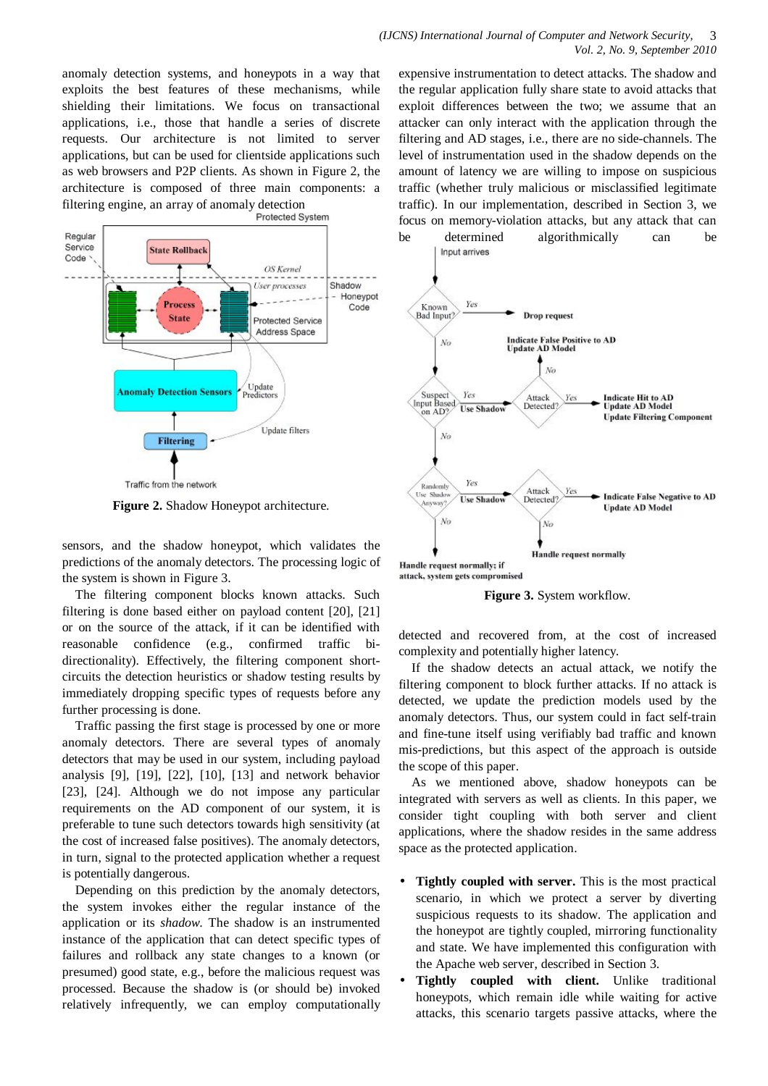anomaly detection systems, and honeypots in a way that exploits the best features of these mechanisms, while shielding their limitations. We focus on transactional applications, i.e., those that handle a series of discrete requests. Our architecture is not limited to server applications, but can be used for clientside applications such as web browsers and P2P clients. As shown in Figure 2, the architecture is composed of three main components: a



**Figure 2.** Shadow Honeypot architecture.

sensors, and the shadow honeypot, which validates the predictions of the anomaly detectors. The processing logic of the system is shown in Figure 3.

The filtering component blocks known attacks. Such filtering is done based either on payload content [20], [21] or on the source of the attack, if it can be identified with reasonable confidence (e.g., confirmed traffic bidirectionality). Effectively, the filtering component shortcircuits the detection heuristics or shadow testing results by immediately dropping specific types of requests before any further processing is done.

Traffic passing the first stage is processed by one or more anomaly detectors. There are several types of anomaly detectors that may be used in our system, including payload analysis [9], [19], [22], [10], [13] and network behavior [23], [24]. Although we do not impose any particular requirements on the AD component of our system, it is preferable to tune such detectors towards high sensitivity (at the cost of increased false positives). The anomaly detectors, in turn, signal to the protected application whether a request is potentially dangerous.

Depending on this prediction by the anomaly detectors, the system invokes either the regular instance of the application or its *shadow*. The shadow is an instrumented instance of the application that can detect specific types of failures and rollback any state changes to a known (or presumed) good state, e.g., before the malicious request was processed. Because the shadow is (or should be) invoked relatively infrequently, we can employ computationally expensive instrumentation to detect attacks. The shadow and the regular application fully share state to avoid attacks that exploit differences between the two; we assume that an attacker can only interact with the application through the filtering and AD stages, i.e., there are no side-channels. The level of instrumentation used in the shadow depends on the amount of latency we are willing to impose on suspicious traffic (whether truly malicious or misclassified legitimate traffic). In our implementation, described in Section 3, we focus on memory-violation attacks, but any attack that can



**Figure 3.** System workflow.

detected and recovered from, at the cost of increased complexity and potentially higher latency.

If the shadow detects an actual attack, we notify the filtering component to block further attacks. If no attack is detected, we update the prediction models used by the anomaly detectors. Thus, our system could in fact self-train and fine-tune itself using verifiably bad traffic and known mis-predictions, but this aspect of the approach is outside the scope of this paper.

As we mentioned above, shadow honeypots can be integrated with servers as well as clients. In this paper, we consider tight coupling with both server and client applications, where the shadow resides in the same address space as the protected application.

- **Tightly coupled with server.** This is the most practical scenario, in which we protect a server by diverting suspicious requests to its shadow. The application and the honeypot are tightly coupled, mirroring functionality and state. We have implemented this configuration with the Apache web server, described in Section 3.
- **Tightly coupled with client.** Unlike traditional honeypots, which remain idle while waiting for active attacks, this scenario targets passive attacks, where the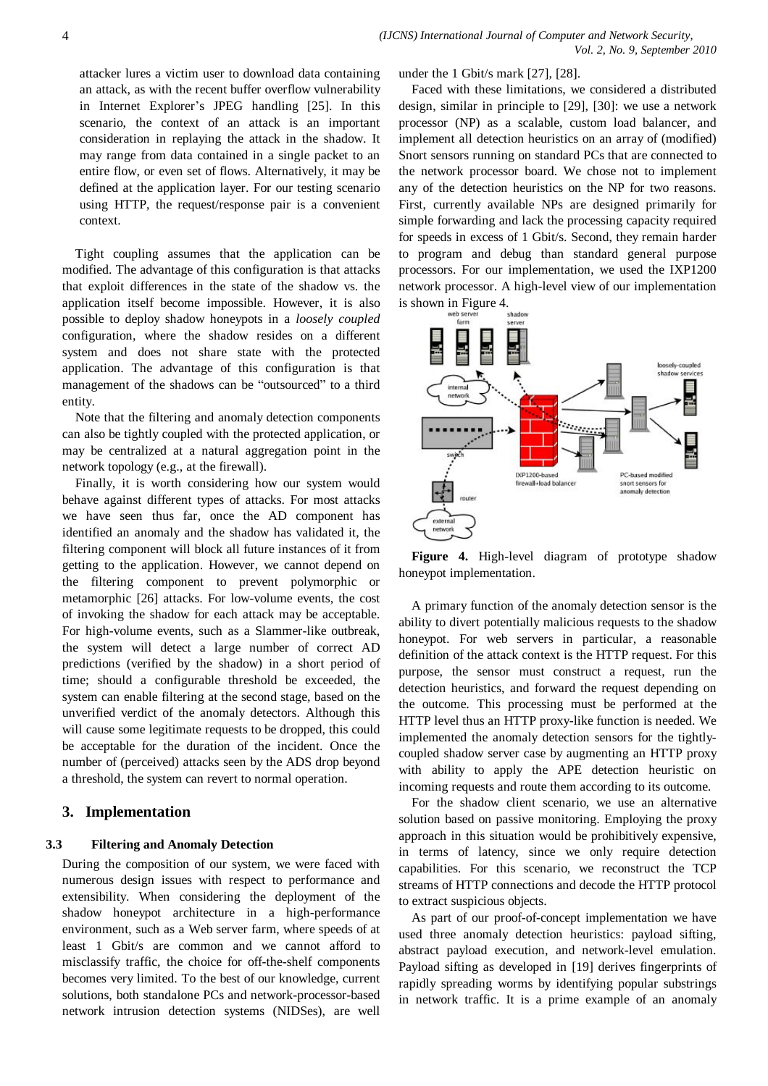attacker lures a victim user to download data containing an attack, as with the recent buffer overflow vulnerability in Internet Explorer's JPEG handling [25]. In this scenario, the context of an attack is an important consideration in replaying the attack in the shadow. It may range from data contained in a single packet to an entire flow, or even set of flows. Alternatively, it may be defined at the application layer. For our testing scenario using HTTP, the request/response pair is a convenient context.

Tight coupling assumes that the application can be modified. The advantage of this configuration is that attacks that exploit differences in the state of the shadow vs. the application itself become impossible. However, it is also possible to deploy shadow honeypots in a *loosely coupled* configuration, where the shadow resides on a different system and does not share state with the protected application. The advantage of this configuration is that management of the shadows can be "outsourced" to a third entity.

Note that the filtering and anomaly detection components can also be tightly coupled with the protected application, or may be centralized at a natural aggregation point in the network topology (e.g., at the firewall).

Finally, it is worth considering how our system would behave against different types of attacks. For most attacks we have seen thus far, once the AD component has identified an anomaly and the shadow has validated it, the filtering component will block all future instances of it from getting to the application. However, we cannot depend on the filtering component to prevent polymorphic or metamorphic [26] attacks. For low-volume events, the cost of invoking the shadow for each attack may be acceptable. For high-volume events, such as a Slammer-like outbreak, the system will detect a large number of correct AD predictions (verified by the shadow) in a short period of time; should a configurable threshold be exceeded, the system can enable filtering at the second stage, based on the unverified verdict of the anomaly detectors. Although this will cause some legitimate requests to be dropped, this could be acceptable for the duration of the incident. Once the number of (perceived) attacks seen by the ADS drop beyond a threshold, the system can revert to normal operation.

#### **3. Implementation**

### **3.3 Filtering and Anomaly Detection**

During the composition of our system, we were faced with numerous design issues with respect to performance and extensibility. When considering the deployment of the shadow honeypot architecture in a high-performance environment, such as a Web server farm, where speeds of at least 1 Gbit/s are common and we cannot afford to misclassify traffic, the choice for off-the-shelf components becomes very limited. To the best of our knowledge, current solutions, both standalone PCs and network-processor-based network intrusion detection systems (NIDSes), are well under the 1 Gbit/s mark [27], [28].

Faced with these limitations, we considered a distributed design, similar in principle to [29], [30]: we use a network processor (NP) as a scalable, custom load balancer, and implement all detection heuristics on an array of (modified) Snort sensors running on standard PCs that are connected to the network processor board. We chose not to implement any of the detection heuristics on the NP for two reasons. First, currently available NPs are designed primarily for simple forwarding and lack the processing capacity required for speeds in excess of 1 Gbit/s. Second, they remain harder to program and debug than standard general purpose processors. For our implementation, we used the IXP1200 network processor. A high-level view of our implementation is shown in Figure 4.



**Figure 4.** High-level diagram of prototype shadow honeypot implementation.

A primary function of the anomaly detection sensor is the ability to divert potentially malicious requests to the shadow honeypot. For web servers in particular, a reasonable definition of the attack context is the HTTP request. For this purpose, the sensor must construct a request, run the detection heuristics, and forward the request depending on the outcome. This processing must be performed at the HTTP level thus an HTTP proxy-like function is needed. We implemented the anomaly detection sensors for the tightlycoupled shadow server case by augmenting an HTTP proxy with ability to apply the APE detection heuristic on incoming requests and route them according to its outcome.

For the shadow client scenario, we use an alternative solution based on passive monitoring. Employing the proxy approach in this situation would be prohibitively expensive, in terms of latency, since we only require detection capabilities. For this scenario, we reconstruct the TCP streams of HTTP connections and decode the HTTP protocol to extract suspicious objects.

As part of our proof-of-concept implementation we have used three anomaly detection heuristics: payload sifting, abstract payload execution, and network-level emulation. Payload sifting as developed in [19] derives fingerprints of rapidly spreading worms by identifying popular substrings in network traffic. It is a prime example of an anomaly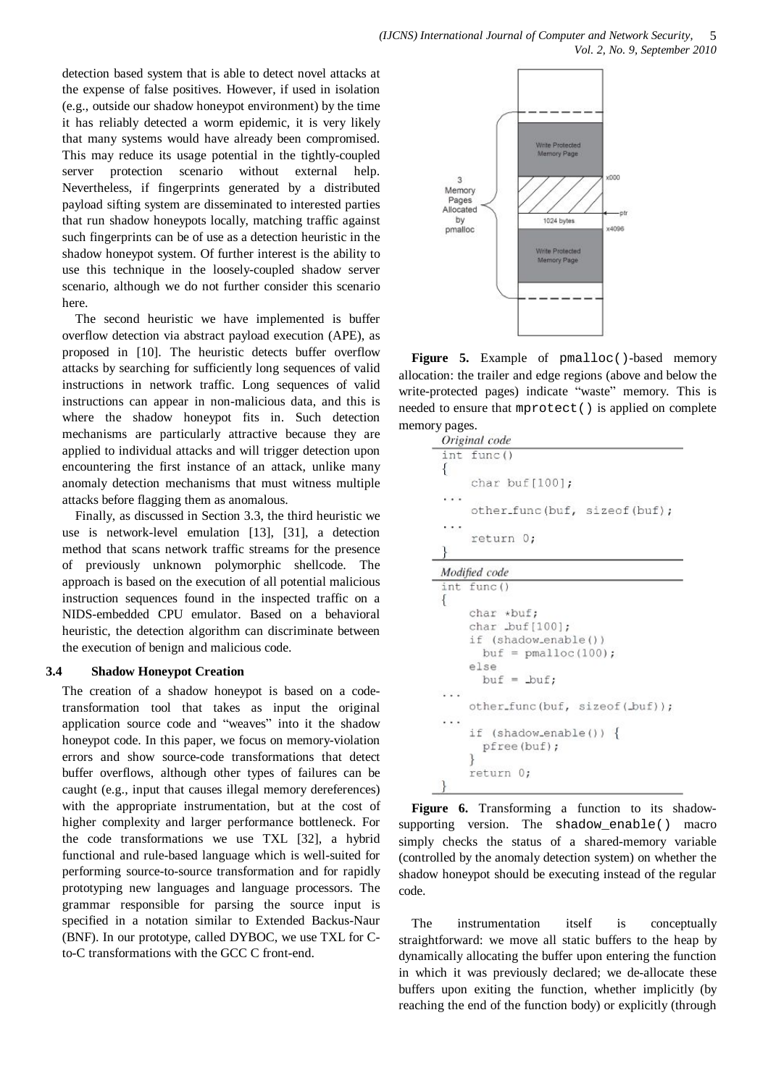detection based system that is able to detect novel attacks at the expense of false positives. However, if used in isolation (e.g., outside our shadow honeypot environment) by the time it has reliably detected a worm epidemic, it is very likely that many systems would have already been compromised. This may reduce its usage potential in the tightly-coupled server protection scenario without external help. Nevertheless, if fingerprints generated by a distributed payload sifting system are disseminated to interested parties that run shadow honeypots locally, matching traffic against such fingerprints can be of use as a detection heuristic in the shadow honeypot system. Of further interest is the ability to use this technique in the loosely-coupled shadow server scenario, although we do not further consider this scenario here.

The second heuristic we have implemented is buffer overflow detection via abstract payload execution (APE), as proposed in [10]. The heuristic detects buffer overflow attacks by searching for sufficiently long sequences of valid instructions in network traffic. Long sequences of valid instructions can appear in non-malicious data, and this is where the shadow honeypot fits in. Such detection mechanisms are particularly attractive because they are applied to individual attacks and will trigger detection upon encountering the first instance of an attack, unlike many anomaly detection mechanisms that must witness multiple attacks before flagging them as anomalous.

Finally, as discussed in Section 3.3, the third heuristic we use is network-level emulation [13], [31], a detection method that scans network traffic streams for the presence of previously unknown polymorphic shellcode. The approach is based on the execution of all potential malicious instruction sequences found in the inspected traffic on a NIDS-embedded CPU emulator. Based on a behavioral heuristic, the detection algorithm can discriminate between the execution of benign and malicious code.

#### **3.4 Shadow Honeypot Creation**

The creation of a shadow honeypot is based on a codetransformation tool that takes as input the original application source code and "weaves" into it the shadow honeypot code. In this paper, we focus on memory-violation errors and show source-code transformations that detect buffer overflows, although other types of failures can be caught (e.g., input that causes illegal memory dereferences) with the appropriate instrumentation, but at the cost of higher complexity and larger performance bottleneck. For the code transformations we use TXL [32], a hybrid functional and rule-based language which is well-suited for performing source-to-source transformation and for rapidly prototyping new languages and language processors. The grammar responsible for parsing the source input is specified in a notation similar to Extended Backus-Naur (BNF). In our prototype, called DYBOC, we use TXL for Cto-C transformations with the GCC C front-end.



**Figure 5.** Example of pmalloc()-based memory allocation: the trailer and edge regions (above and below the write-protected pages) indicate "waste" memory. This is needed to ensure that mprotect() is applied on complete memory pages.

| Original code |                                |  |
|---------------|--------------------------------|--|
|               | int func()                     |  |
| ſ             |                                |  |
|               | char buf $[100]$ ;             |  |
|               |                                |  |
|               | other_func(buf, sizeof(buf);   |  |
|               |                                |  |
|               | return 0;                      |  |
|               |                                |  |
|               | Modified code                  |  |
|               | int func()                     |  |
| €             |                                |  |
|               | char *buf;                     |  |
|               | char $\bmod[100]$ ;            |  |
|               | if (shadow_enable())           |  |
|               | buf = $pmalloc(100)$ ;         |  |
|               | else                           |  |
|               | $but = \text{but};$            |  |
|               |                                |  |
|               | other_func(buf, sizeof(_buf)); |  |
|               |                                |  |
|               | if $(shadowenable())$ {        |  |
|               | pfree(buf);                    |  |
|               | ł                              |  |
|               | return 0;                      |  |
| l             |                                |  |

**Figure 6.** Transforming a function to its shadowsupporting version. The shadow\_enable() macro simply checks the status of a shared-memory variable (controlled by the anomaly detection system) on whether the shadow honeypot should be executing instead of the regular code.

The instrumentation itself is conceptually straightforward: we move all static buffers to the heap by dynamically allocating the buffer upon entering the function in which it was previously declared; we de-allocate these buffers upon exiting the function, whether implicitly (by reaching the end of the function body) or explicitly (through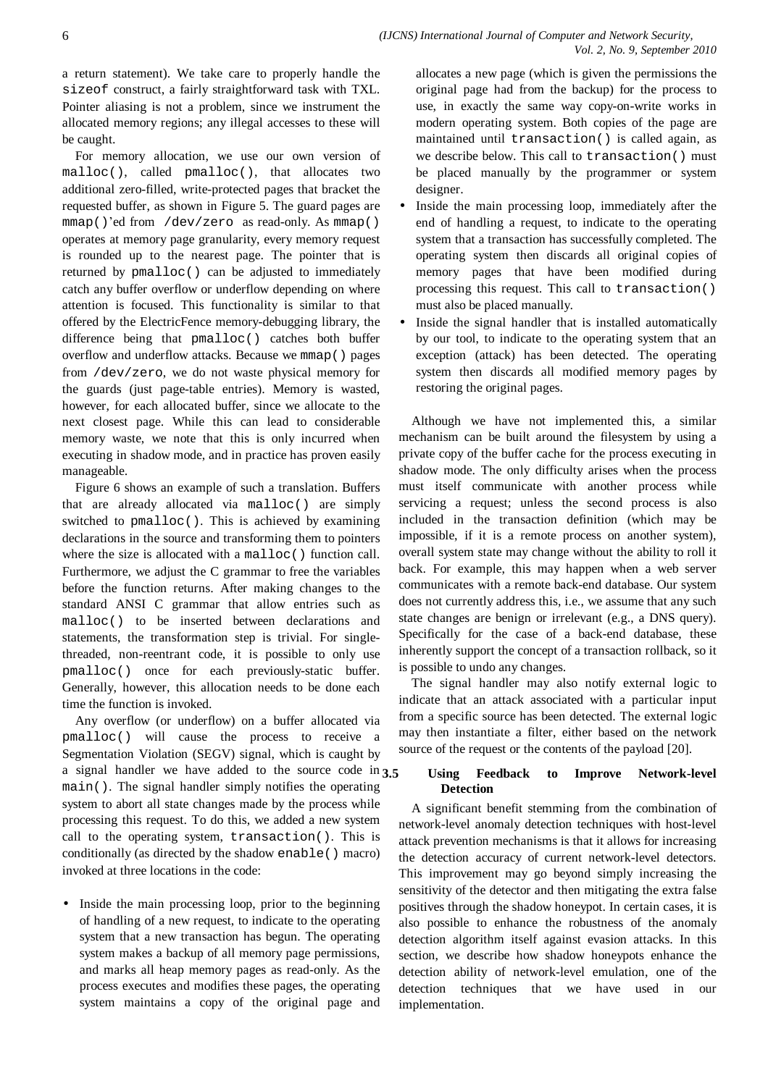a return statement). We take care to properly handle the sizeof construct, a fairly straightforward task with TXL. Pointer aliasing is not a problem, since we instrument the allocated memory regions; any illegal accesses to these will be caught.

For memory allocation, we use our own version of malloc(), called pmalloc(), that allocates two additional zero-filled, write-protected pages that bracket the requested buffer, as shown in Figure 5. The guard pages are mmap()'ed from /dev/zero as read-only. As mmap() operates at memory page granularity, every memory request is rounded up to the nearest page. The pointer that is returned by pmalloc() can be adjusted to immediately catch any buffer overflow or underflow depending on where attention is focused. This functionality is similar to that offered by the ElectricFence memory-debugging library, the difference being that pmalloc() catches both buffer overflow and underflow attacks. Because we mmap() pages from /dev/zero, we do not waste physical memory for the guards (just page-table entries). Memory is wasted, however, for each allocated buffer, since we allocate to the next closest page. While this can lead to considerable memory waste, we note that this is only incurred when executing in shadow mode, and in practice has proven easily manageable.

Figure 6 shows an example of such a translation. Buffers that are already allocated via malloc() are simply switched to pmalloc(). This is achieved by examining declarations in the source and transforming them to pointers where the size is allocated with a malloc() function call. Furthermore, we adjust the C grammar to free the variables before the function returns. After making changes to the standard ANSI C grammar that allow entries such as malloc() to be inserted between declarations and statements, the transformation step is trivial. For singlethreaded, non-reentrant code, it is possible to only use pmalloc() once for each previously-static buffer. Generally, however, this allocation needs to be done each time the function is invoked.

Any overflow (or underflow) on a buffer allocated via pmalloc() will cause the process to receive a Segmentation Violation (SEGV) signal, which is caught by a signal handler we have added to the source code in  $3.5$ main(). The signal handler simply notifies the operating system to abort all state changes made by the process while processing this request. To do this, we added a new system call to the operating system, transaction(). This is conditionally (as directed by the shadow enable() macro) invoked at three locations in the code:

• Inside the main processing loop, prior to the beginning of handling of a new request, to indicate to the operating system that a new transaction has begun. The operating system makes a backup of all memory page permissions, and marks all heap memory pages as read-only. As the process executes and modifies these pages, the operating system maintains a copy of the original page and allocates a new page (which is given the permissions the original page had from the backup) for the process to use, in exactly the same way copy-on-write works in modern operating system. Both copies of the page are maintained until transaction() is called again, as we describe below. This call to transaction() must be placed manually by the programmer or system designer.

- Inside the main processing loop, immediately after the end of handling a request, to indicate to the operating system that a transaction has successfully completed. The operating system then discards all original copies of memory pages that have been modified during processing this request. This call to transaction() must also be placed manually.
- Inside the signal handler that is installed automatically by our tool, to indicate to the operating system that an exception (attack) has been detected. The operating system then discards all modified memory pages by restoring the original pages.

Although we have not implemented this, a similar mechanism can be built around the filesystem by using a private copy of the buffer cache for the process executing in shadow mode. The only difficulty arises when the process must itself communicate with another process while servicing a request; unless the second process is also included in the transaction definition (which may be impossible, if it is a remote process on another system), overall system state may change without the ability to roll it back. For example, this may happen when a web server communicates with a remote back-end database. Our system does not currently address this, i.e., we assume that any such state changes are benign or irrelevant (e.g., a DNS query). Specifically for the case of a back-end database, these inherently support the concept of a transaction rollback, so it is possible to undo any changes.

The signal handler may also notify external logic to indicate that an attack associated with a particular input from a specific source has been detected. The external logic may then instantiate a filter, either based on the network source of the request or the contents of the payload [20].

## **3.5 Using Feedback to Improve Network-level Detection**

A significant benefit stemming from the combination of network-level anomaly detection techniques with host-level attack prevention mechanisms is that it allows for increasing the detection accuracy of current network-level detectors. This improvement may go beyond simply increasing the sensitivity of the detector and then mitigating the extra false positives through the shadow honeypot. In certain cases, it is also possible to enhance the robustness of the anomaly detection algorithm itself against evasion attacks. In this section, we describe how shadow honeypots enhance the detection ability of network-level emulation, one of the detection techniques that we have used in our implementation.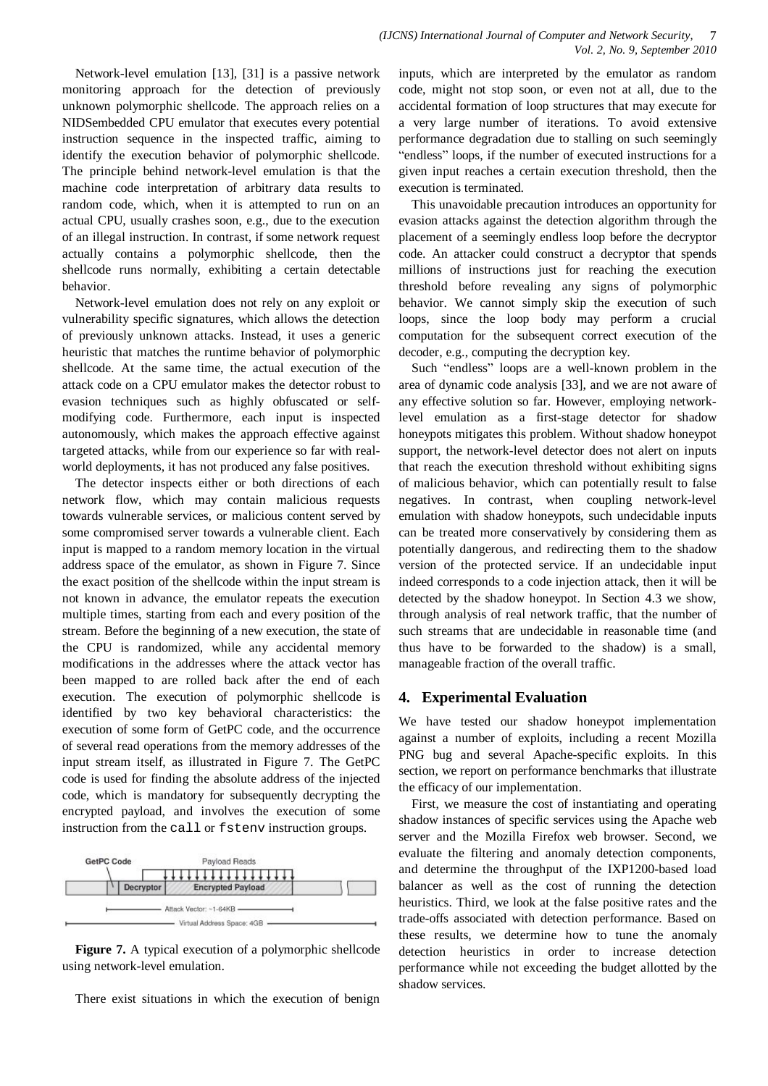Network-level emulation [13], [31] is a passive network monitoring approach for the detection of previously unknown polymorphic shellcode. The approach relies on a NIDSembedded CPU emulator that executes every potential instruction sequence in the inspected traffic, aiming to identify the execution behavior of polymorphic shellcode. The principle behind network-level emulation is that the machine code interpretation of arbitrary data results to random code, which, when it is attempted to run on an actual CPU, usually crashes soon, e.g., due to the execution of an illegal instruction. In contrast, if some network request actually contains a polymorphic shellcode, then the shellcode runs normally, exhibiting a certain detectable behavior.

Network-level emulation does not rely on any exploit or vulnerability specific signatures, which allows the detection of previously unknown attacks. Instead, it uses a generic heuristic that matches the runtime behavior of polymorphic shellcode. At the same time, the actual execution of the attack code on a CPU emulator makes the detector robust to evasion techniques such as highly obfuscated or selfmodifying code. Furthermore, each input is inspected autonomously, which makes the approach effective against targeted attacks, while from our experience so far with realworld deployments, it has not produced any false positives.

The detector inspects either or both directions of each network flow, which may contain malicious requests towards vulnerable services, or malicious content served by some compromised server towards a vulnerable client. Each input is mapped to a random memory location in the virtual address space of the emulator, as shown in Figure 7. Since the exact position of the shellcode within the input stream is not known in advance, the emulator repeats the execution multiple times, starting from each and every position of the stream. Before the beginning of a new execution, the state of the CPU is randomized, while any accidental memory modifications in the addresses where the attack vector has been mapped to are rolled back after the end of each execution. The execution of polymorphic shellcode is identified by two key behavioral characteristics: the execution of some form of GetPC code, and the occurrence of several read operations from the memory addresses of the input stream itself, as illustrated in Figure 7. The GetPC code is used for finding the absolute address of the injected code, which is mandatory for subsequently decrypting the encrypted payload, and involves the execution of some instruction from the call or fstenv instruction groups.



**Figure 7.** A typical execution of a polymorphic shellcode using network-level emulation.

There exist situations in which the execution of benign

inputs, which are interpreted by the emulator as random code, might not stop soon, or even not at all, due to the accidental formation of loop structures that may execute for a very large number of iterations. To avoid extensive performance degradation due to stalling on such seemingly "endless" loops, if the number of executed instructions for a given input reaches a certain execution threshold, then the execution is terminated.

This unavoidable precaution introduces an opportunity for evasion attacks against the detection algorithm through the placement of a seemingly endless loop before the decryptor code. An attacker could construct a decryptor that spends millions of instructions just for reaching the execution threshold before revealing any signs of polymorphic behavior. We cannot simply skip the execution of such loops, since the loop body may perform a crucial computation for the subsequent correct execution of the decoder, e.g., computing the decryption key.

Such "endless" loops are a well-known problem in the area of dynamic code analysis [33], and we are not aware of any effective solution so far. However, employing networklevel emulation as a first-stage detector for shadow honeypots mitigates this problem. Without shadow honeypot support, the network-level detector does not alert on inputs that reach the execution threshold without exhibiting signs of malicious behavior, which can potentially result to false negatives. In contrast, when coupling network-level emulation with shadow honeypots, such undecidable inputs can be treated more conservatively by considering them as potentially dangerous, and redirecting them to the shadow version of the protected service. If an undecidable input indeed corresponds to a code injection attack, then it will be detected by the shadow honeypot. In Section 4.3 we show, through analysis of real network traffic, that the number of such streams that are undecidable in reasonable time (and thus have to be forwarded to the shadow) is a small, manageable fraction of the overall traffic.

## **4. Experimental Evaluation**

We have tested our shadow honeypot implementation against a number of exploits, including a recent Mozilla PNG bug and several Apache-specific exploits. In this section, we report on performance benchmarks that illustrate the efficacy of our implementation.

First, we measure the cost of instantiating and operating shadow instances of specific services using the Apache web server and the Mozilla Firefox web browser. Second, we evaluate the filtering and anomaly detection components, and determine the throughput of the IXP1200-based load balancer as well as the cost of running the detection heuristics. Third, we look at the false positive rates and the trade-offs associated with detection performance. Based on these results, we determine how to tune the anomaly detection heuristics in order to increase detection performance while not exceeding the budget allotted by the shadow services.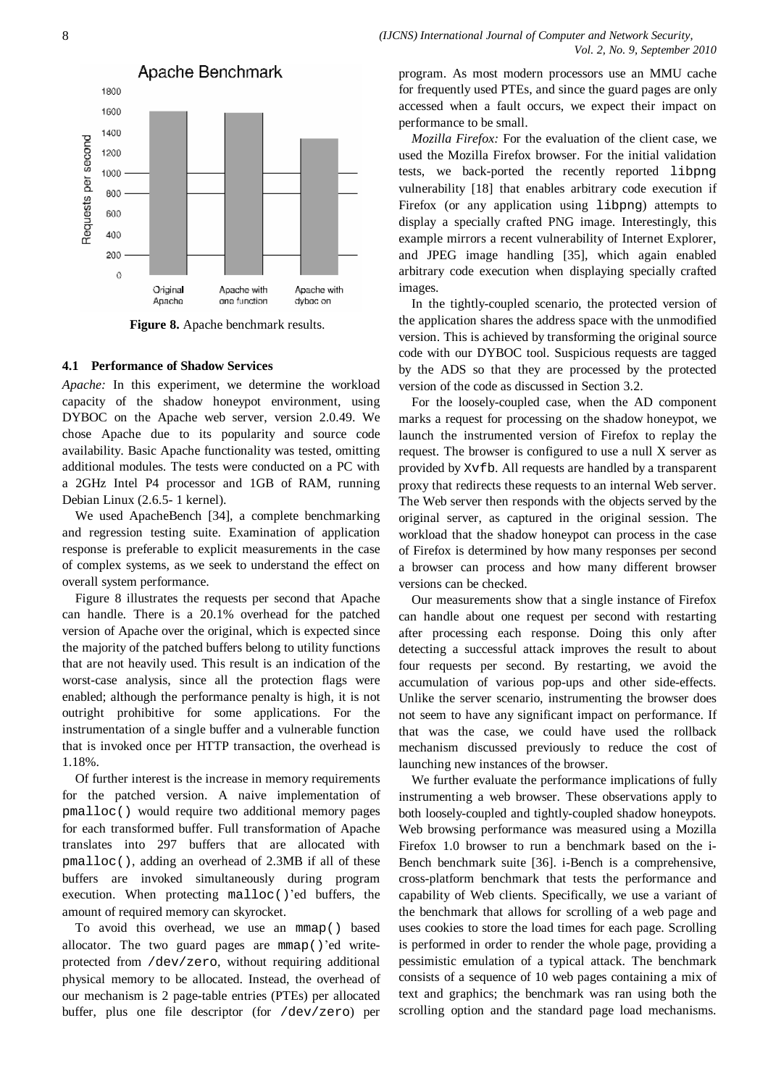

**Figure 8.** Apache benchmark results.

#### **4.1 Performance of Shadow Services**

*Apache:* In this experiment, we determine the workload capacity of the shadow honeypot environment, using DYBOC on the Apache web server, version 2.0.49. We chose Apache due to its popularity and source code availability. Basic Apache functionality was tested, omitting additional modules. The tests were conducted on a PC with a 2GHz Intel P4 processor and 1GB of RAM, running Debian Linux (2.6.5- 1 kernel).

We used ApacheBench [34], a complete benchmarking and regression testing suite. Examination of application response is preferable to explicit measurements in the case of complex systems, as we seek to understand the effect on overall system performance.

Figure 8 illustrates the requests per second that Apache can handle. There is a 20.1% overhead for the patched version of Apache over the original, which is expected since the majority of the patched buffers belong to utility functions that are not heavily used. This result is an indication of the worst-case analysis, since all the protection flags were enabled; although the performance penalty is high, it is not outright prohibitive for some applications. For the instrumentation of a single buffer and a vulnerable function that is invoked once per HTTP transaction, the overhead is 1.18%.

Of further interest is the increase in memory requirements for the patched version. A naive implementation of pmalloc() would require two additional memory pages for each transformed buffer. Full transformation of Apache translates into 297 buffers that are allocated with pmalloc(), adding an overhead of 2.3MB if all of these buffers are invoked simultaneously during program execution. When protecting malloc()'ed buffers, the amount of required memory can skyrocket.

To avoid this overhead, we use an mmap() based allocator. The two guard pages are mmap()'ed writeprotected from /dev/zero, without requiring additional physical memory to be allocated. Instead, the overhead of our mechanism is 2 page-table entries (PTEs) per allocated buffer, plus one file descriptor (for /dev/zero) per

*(IJCNS) International Journal of Computer and Network Security, Vol. 2, No. 9, September 2010* 

program. As most modern processors use an MMU cache for frequently used PTEs, and since the guard pages are only accessed when a fault occurs, we expect their impact on performance to be small.

*Mozilla Firefox:* For the evaluation of the client case, we used the Mozilla Firefox browser. For the initial validation tests, we back-ported the recently reported libpng vulnerability [18] that enables arbitrary code execution if Firefox (or any application using libpng) attempts to display a specially crafted PNG image. Interestingly, this example mirrors a recent vulnerability of Internet Explorer, and JPEG image handling [35], which again enabled arbitrary code execution when displaying specially crafted images.

In the tightly-coupled scenario, the protected version of the application shares the address space with the unmodified version. This is achieved by transforming the original source code with our DYBOC tool. Suspicious requests are tagged by the ADS so that they are processed by the protected version of the code as discussed in Section 3.2.

For the loosely-coupled case, when the AD component marks a request for processing on the shadow honeypot, we launch the instrumented version of Firefox to replay the request. The browser is configured to use a null X server as provided by Xvfb. All requests are handled by a transparent proxy that redirects these requests to an internal Web server. The Web server then responds with the objects served by the original server, as captured in the original session. The workload that the shadow honeypot can process in the case of Firefox is determined by how many responses per second a browser can process and how many different browser versions can be checked.

Our measurements show that a single instance of Firefox can handle about one request per second with restarting after processing each response. Doing this only after detecting a successful attack improves the result to about four requests per second. By restarting, we avoid the accumulation of various pop-ups and other side-effects. Unlike the server scenario, instrumenting the browser does not seem to have any significant impact on performance. If that was the case, we could have used the rollback mechanism discussed previously to reduce the cost of launching new instances of the browser.

We further evaluate the performance implications of fully instrumenting a web browser. These observations apply to both loosely-coupled and tightly-coupled shadow honeypots. Web browsing performance was measured using a Mozilla Firefox 1.0 browser to run a benchmark based on the i-Bench benchmark suite [36]. i-Bench is a comprehensive, cross-platform benchmark that tests the performance and capability of Web clients. Specifically, we use a variant of the benchmark that allows for scrolling of a web page and uses cookies to store the load times for each page. Scrolling is performed in order to render the whole page, providing a pessimistic emulation of a typical attack. The benchmark consists of a sequence of 10 web pages containing a mix of text and graphics; the benchmark was ran using both the scrolling option and the standard page load mechanisms.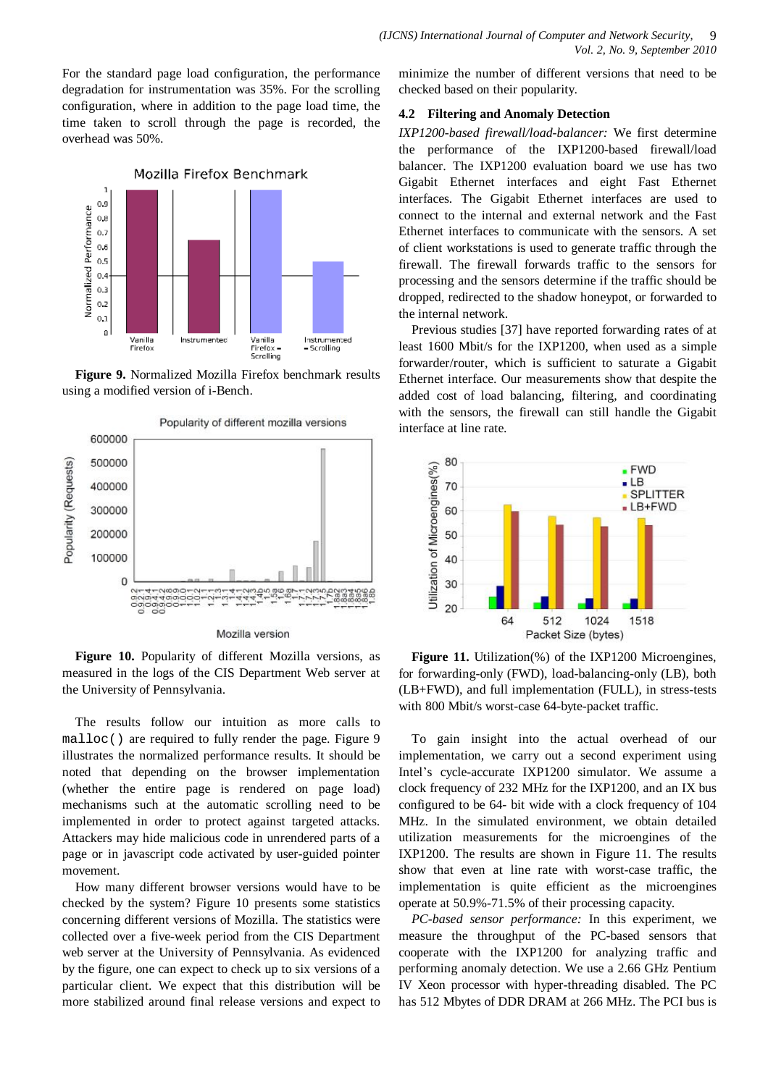For the standard page load configuration, the performance degradation for instrumentation was 35%. For the scrolling configuration, where in addition to the page load time, the time taken to scroll through the page is recorded, the overhead was 50%.



**Figure 9.** Normalized Mozilla Firefox benchmark results using a modified version of i-Bench.



**Figure 10.** Popularity of different Mozilla versions, as measured in the logs of the CIS Department Web server at the University of Pennsylvania.

The results follow our intuition as more calls to malloc() are required to fully render the page. Figure 9 illustrates the normalized performance results. It should be noted that depending on the browser implementation (whether the entire page is rendered on page load) mechanisms such at the automatic scrolling need to be implemented in order to protect against targeted attacks. Attackers may hide malicious code in unrendered parts of a page or in javascript code activated by user-guided pointer movement.

How many different browser versions would have to be checked by the system? Figure 10 presents some statistics concerning different versions of Mozilla. The statistics were collected over a five-week period from the CIS Department web server at the University of Pennsylvania. As evidenced by the figure, one can expect to check up to six versions of a particular client. We expect that this distribution will be more stabilized around final release versions and expect to minimize the number of different versions that need to be checked based on their popularity.

#### **4.2 Filtering and Anomaly Detection**

*IXP1200-based firewall/load-balancer:* We first determine the performance of the IXP1200-based firewall/load balancer. The IXP1200 evaluation board we use has two Gigabit Ethernet interfaces and eight Fast Ethernet interfaces. The Gigabit Ethernet interfaces are used to connect to the internal and external network and the Fast Ethernet interfaces to communicate with the sensors. A set of client workstations is used to generate traffic through the firewall. The firewall forwards traffic to the sensors for processing and the sensors determine if the traffic should be dropped, redirected to the shadow honeypot, or forwarded to the internal network.

Previous studies [37] have reported forwarding rates of at least 1600 Mbit/s for the IXP1200, when used as a simple forwarder/router, which is sufficient to saturate a Gigabit Ethernet interface. Our measurements show that despite the added cost of load balancing, filtering, and coordinating with the sensors, the firewall can still handle the Gigabit interface at line rate.



**Figure 11.** Utilization(%) of the IXP1200 Microengines, for forwarding-only (FWD), load-balancing-only (LB), both (LB+FWD), and full implementation (FULL), in stress-tests with 800 Mbit/s worst-case 64-byte-packet traffic.

To gain insight into the actual overhead of our implementation, we carry out a second experiment using Intel's cycle-accurate IXP1200 simulator. We assume a clock frequency of 232 MHz for the IXP1200, and an IX bus configured to be 64- bit wide with a clock frequency of 104 MHz. In the simulated environment, we obtain detailed utilization measurements for the microengines of the IXP1200. The results are shown in Figure 11. The results show that even at line rate with worst-case traffic, the implementation is quite efficient as the microengines operate at 50.9%-71.5% of their processing capacity.

*PC-based sensor performance:* In this experiment, we measure the throughput of the PC-based sensors that cooperate with the IXP1200 for analyzing traffic and performing anomaly detection. We use a 2.66 GHz Pentium IV Xeon processor with hyper-threading disabled. The PC has 512 Mbytes of DDR DRAM at 266 MHz. The PCI bus is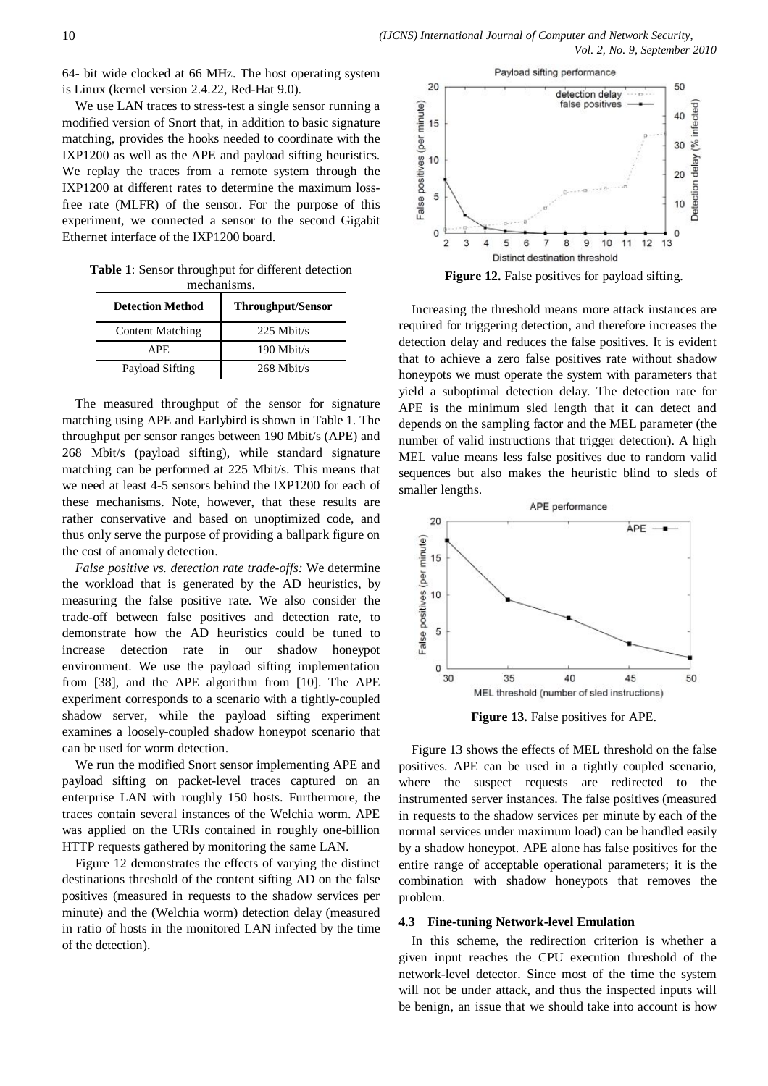64- bit wide clocked at 66 MHz. The host operating system is Linux (kernel version 2.4.22, Red-Hat 9.0).

We use LAN traces to stress-test a single sensor running a modified version of Snort that, in addition to basic signature matching, provides the hooks needed to coordinate with the IXP1200 as well as the APE and payload sifting heuristics. We replay the traces from a remote system through the IXP1200 at different rates to determine the maximum lossfree rate (MLFR) of the sensor. For the purpose of this experiment, we connected a sensor to the second Gigabit Ethernet interface of the IXP1200 board.

**Table 1**: Sensor throughput for different detection mechanisms.

| <b>Detection Method</b> | <b>Throughput/Sensor</b> |
|-------------------------|--------------------------|
| <b>Content Matching</b> | $225$ Mbit/s             |
| APE.                    | $190$ Mbit/s             |
| Payload Sifting         | $268$ Mbit/s             |

The measured throughput of the sensor for signature matching using APE and Earlybird is shown in Table 1. The throughput per sensor ranges between 190 Mbit/s (APE) and 268 Mbit/s (payload sifting), while standard signature matching can be performed at 225 Mbit/s. This means that we need at least 4-5 sensors behind the IXP1200 for each of these mechanisms. Note, however, that these results are rather conservative and based on unoptimized code, and thus only serve the purpose of providing a ballpark figure on the cost of anomaly detection.

*False positive vs. detection rate trade-offs:* We determine the workload that is generated by the AD heuristics, by measuring the false positive rate. We also consider the trade-off between false positives and detection rate, to demonstrate how the AD heuristics could be tuned to increase detection rate in our shadow honeypot environment. We use the payload sifting implementation from [38], and the APE algorithm from [10]. The APE experiment corresponds to a scenario with a tightly-coupled shadow server, while the payload sifting experiment examines a loosely-coupled shadow honeypot scenario that can be used for worm detection.

We run the modified Snort sensor implementing APE and payload sifting on packet-level traces captured on an enterprise LAN with roughly 150 hosts. Furthermore, the traces contain several instances of the Welchia worm. APE was applied on the URIs contained in roughly one-billion HTTP requests gathered by monitoring the same LAN.

Figure 12 demonstrates the effects of varying the distinct destinations threshold of the content sifting AD on the false positives (measured in requests to the shadow services per minute) and the (Welchia worm) detection delay (measured in ratio of hosts in the monitored LAN infected by the time of the detection).



**Figure 12.** False positives for payload sifting.

Increasing the threshold means more attack instances are required for triggering detection, and therefore increases the detection delay and reduces the false positives. It is evident that to achieve a zero false positives rate without shadow honeypots we must operate the system with parameters that yield a suboptimal detection delay. The detection rate for APE is the minimum sled length that it can detect and depends on the sampling factor and the MEL parameter (the number of valid instructions that trigger detection). A high MEL value means less false positives due to random valid sequences but also makes the heuristic blind to sleds of smaller lengths.



**Figure 13.** False positives for APE.

Figure 13 shows the effects of MEL threshold on the false positives. APE can be used in a tightly coupled scenario, where the suspect requests are redirected to the instrumented server instances. The false positives (measured in requests to the shadow services per minute by each of the normal services under maximum load) can be handled easily by a shadow honeypot. APE alone has false positives for the entire range of acceptable operational parameters; it is the combination with shadow honeypots that removes the problem.

#### **4.3 Fine-tuning Network-level Emulation**

In this scheme, the redirection criterion is whether a given input reaches the CPU execution threshold of the network-level detector. Since most of the time the system will not be under attack, and thus the inspected inputs will be benign, an issue that we should take into account is how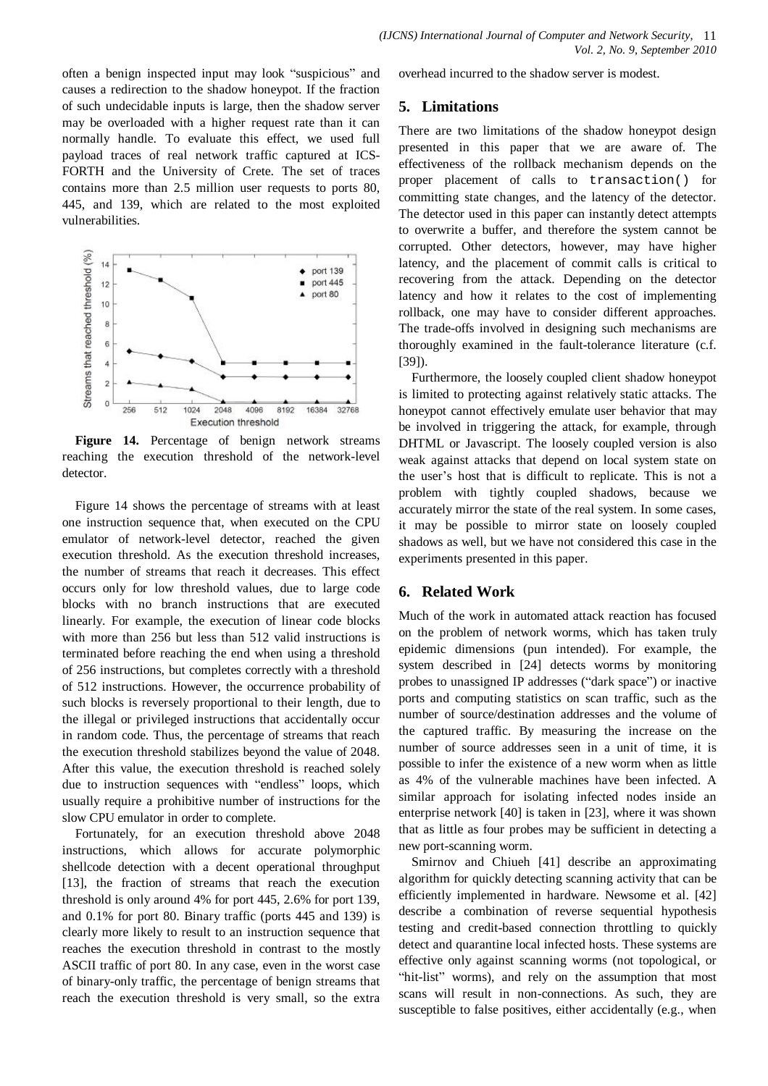often a benign inspected input may look "suspicious" and causes a redirection to the shadow honeypot. If the fraction of such undecidable inputs is large, then the shadow server may be overloaded with a higher request rate than it can normally handle. To evaluate this effect, we used full payload traces of real network traffic captured at ICS-FORTH and the University of Crete. The set of traces contains more than 2.5 million user requests to ports 80, 445, and 139, which are related to the most exploited vulnerabilities.



**Figure 14.** Percentage of benign network streams reaching the execution threshold of the network-level detector.

Figure 14 shows the percentage of streams with at least one instruction sequence that, when executed on the CPU emulator of network-level detector, reached the given execution threshold. As the execution threshold increases, the number of streams that reach it decreases. This effect occurs only for low threshold values, due to large code blocks with no branch instructions that are executed linearly. For example, the execution of linear code blocks with more than 256 but less than 512 valid instructions is terminated before reaching the end when using a threshold of 256 instructions, but completes correctly with a threshold of 512 instructions. However, the occurrence probability of such blocks is reversely proportional to their length, due to the illegal or privileged instructions that accidentally occur in random code. Thus, the percentage of streams that reach the execution threshold stabilizes beyond the value of 2048. After this value, the execution threshold is reached solely due to instruction sequences with "endless" loops, which usually require a prohibitive number of instructions for the slow CPU emulator in order to complete.

Fortunately, for an execution threshold above 2048 instructions, which allows for accurate polymorphic shellcode detection with a decent operational throughput [13], the fraction of streams that reach the execution threshold is only around 4% for port 445, 2.6% for port 139, and 0.1% for port 80. Binary traffic (ports 445 and 139) is clearly more likely to result to an instruction sequence that reaches the execution threshold in contrast to the mostly ASCII traffic of port 80. In any case, even in the worst case of binary-only traffic, the percentage of benign streams that reach the execution threshold is very small, so the extra

overhead incurred to the shadow server is modest.

#### **5. Limitations**

There are two limitations of the shadow honeypot design presented in this paper that we are aware of. The effectiveness of the rollback mechanism depends on the proper placement of calls to transaction() for committing state changes, and the latency of the detector. The detector used in this paper can instantly detect attempts to overwrite a buffer, and therefore the system cannot be corrupted. Other detectors, however, may have higher latency, and the placement of commit calls is critical to recovering from the attack. Depending on the detector latency and how it relates to the cost of implementing rollback, one may have to consider different approaches. The trade-offs involved in designing such mechanisms are thoroughly examined in the fault-tolerance literature (c.f. [39]).

Furthermore, the loosely coupled client shadow honeypot is limited to protecting against relatively static attacks. The honeypot cannot effectively emulate user behavior that may be involved in triggering the attack, for example, through DHTML or Javascript. The loosely coupled version is also weak against attacks that depend on local system state on the user's host that is difficult to replicate. This is not a problem with tightly coupled shadows, because we accurately mirror the state of the real system. In some cases, it may be possible to mirror state on loosely coupled shadows as well, but we have not considered this case in the experiments presented in this paper.

## **6. Related Work**

Much of the work in automated attack reaction has focused on the problem of network worms, which has taken truly epidemic dimensions (pun intended). For example, the system described in [24] detects worms by monitoring probes to unassigned IP addresses ("dark space") or inactive ports and computing statistics on scan traffic, such as the number of source/destination addresses and the volume of the captured traffic. By measuring the increase on the number of source addresses seen in a unit of time, it is possible to infer the existence of a new worm when as little as 4% of the vulnerable machines have been infected. A similar approach for isolating infected nodes inside an enterprise network [40] is taken in [23], where it was shown that as little as four probes may be sufficient in detecting a new port-scanning worm.

Smirnov and Chiueh [41] describe an approximating algorithm for quickly detecting scanning activity that can be efficiently implemented in hardware. Newsome et al. [42] describe a combination of reverse sequential hypothesis testing and credit-based connection throttling to quickly detect and quarantine local infected hosts. These systems are effective only against scanning worms (not topological, or "hit-list" worms), and rely on the assumption that most scans will result in non-connections. As such, they are susceptible to false positives, either accidentally (e.g., when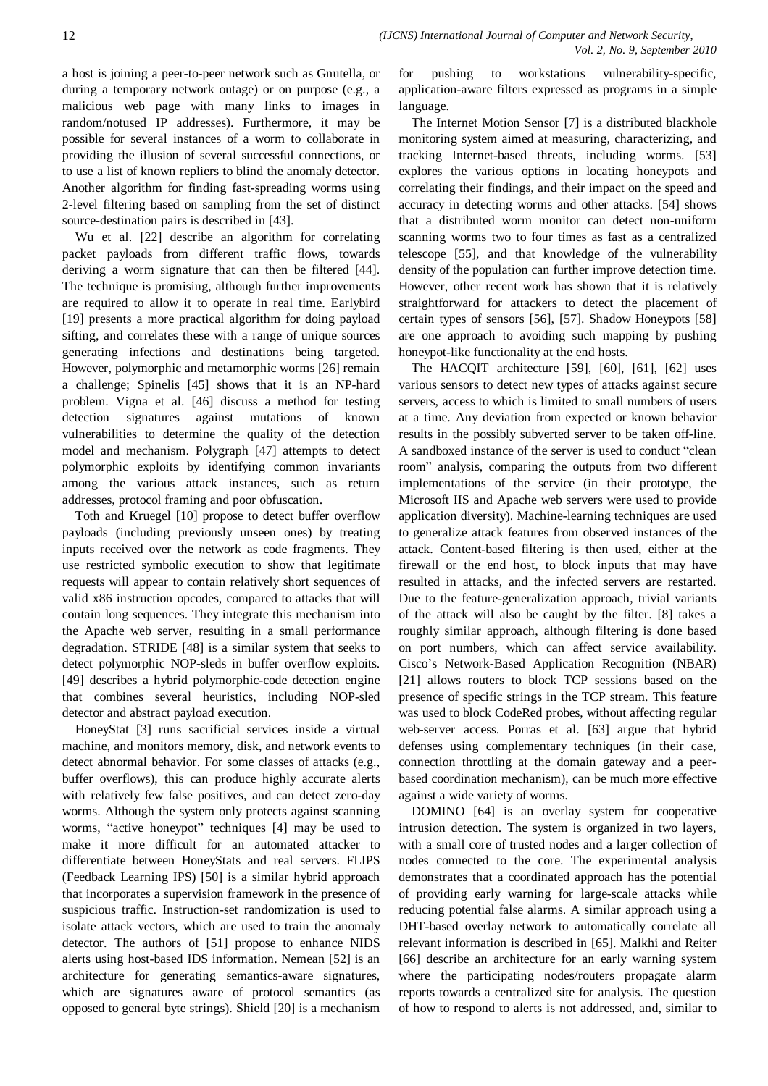a host is joining a peer-to-peer network such as Gnutella, or during a temporary network outage) or on purpose (e.g., a malicious web page with many links to images in random/notused IP addresses). Furthermore, it may be possible for several instances of a worm to collaborate in providing the illusion of several successful connections, or to use a list of known repliers to blind the anomaly detector. Another algorithm for finding fast-spreading worms using 2-level filtering based on sampling from the set of distinct source-destination pairs is described in [43].

Wu et al. [22] describe an algorithm for correlating packet payloads from different traffic flows, towards deriving a worm signature that can then be filtered [44]. The technique is promising, although further improvements are required to allow it to operate in real time. Earlybird [19] presents a more practical algorithm for doing payload sifting, and correlates these with a range of unique sources generating infections and destinations being targeted. However, polymorphic and metamorphic worms [26] remain a challenge; Spinelis [45] shows that it is an NP-hard problem. Vigna et al. [46] discuss a method for testing detection signatures against mutations of known vulnerabilities to determine the quality of the detection model and mechanism. Polygraph [47] attempts to detect polymorphic exploits by identifying common invariants among the various attack instances, such as return addresses, protocol framing and poor obfuscation.

Toth and Kruegel [10] propose to detect buffer overflow payloads (including previously unseen ones) by treating inputs received over the network as code fragments. They use restricted symbolic execution to show that legitimate requests will appear to contain relatively short sequences of valid x86 instruction opcodes, compared to attacks that will contain long sequences. They integrate this mechanism into the Apache web server, resulting in a small performance degradation. STRIDE [48] is a similar system that seeks to detect polymorphic NOP-sleds in buffer overflow exploits. [49] describes a hybrid polymorphic-code detection engine that combines several heuristics, including NOP-sled detector and abstract payload execution.

HoneyStat [3] runs sacrificial services inside a virtual machine, and monitors memory, disk, and network events to detect abnormal behavior. For some classes of attacks (e.g., buffer overflows), this can produce highly accurate alerts with relatively few false positives, and can detect zero-day worms. Although the system only protects against scanning worms, "active honeypot" techniques [4] may be used to make it more difficult for an automated attacker to differentiate between HoneyStats and real servers. FLIPS (Feedback Learning IPS) [50] is a similar hybrid approach that incorporates a supervision framework in the presence of suspicious traffic. Instruction-set randomization is used to isolate attack vectors, which are used to train the anomaly detector. The authors of [51] propose to enhance NIDS alerts using host-based IDS information. Nemean [52] is an architecture for generating semantics-aware signatures, which are signatures aware of protocol semantics (as opposed to general byte strings). Shield [20] is a mechanism for pushing to workstations vulnerability-specific, application-aware filters expressed as programs in a simple language.

The Internet Motion Sensor [7] is a distributed blackhole monitoring system aimed at measuring, characterizing, and tracking Internet-based threats, including worms. [53] explores the various options in locating honeypots and correlating their findings, and their impact on the speed and accuracy in detecting worms and other attacks. [54] shows that a distributed worm monitor can detect non-uniform scanning worms two to four times as fast as a centralized telescope [55], and that knowledge of the vulnerability density of the population can further improve detection time. However, other recent work has shown that it is relatively straightforward for attackers to detect the placement of certain types of sensors [56], [57]. Shadow Honeypots [58] are one approach to avoiding such mapping by pushing honeypot-like functionality at the end hosts.

The HACQIT architecture [59], [60], [61], [62] uses various sensors to detect new types of attacks against secure servers, access to which is limited to small numbers of users at a time. Any deviation from expected or known behavior results in the possibly subverted server to be taken off-line. A sandboxed instance of the server is used to conduct "clean room" analysis, comparing the outputs from two different implementations of the service (in their prototype, the Microsoft IIS and Apache web servers were used to provide application diversity). Machine-learning techniques are used to generalize attack features from observed instances of the attack. Content-based filtering is then used, either at the firewall or the end host, to block inputs that may have resulted in attacks, and the infected servers are restarted. Due to the feature-generalization approach, trivial variants of the attack will also be caught by the filter. [8] takes a roughly similar approach, although filtering is done based on port numbers, which can affect service availability. Cisco's Network-Based Application Recognition (NBAR) [21] allows routers to block TCP sessions based on the presence of specific strings in the TCP stream. This feature was used to block CodeRed probes, without affecting regular web-server access. Porras et al. [63] argue that hybrid defenses using complementary techniques (in their case, connection throttling at the domain gateway and a peerbased coordination mechanism), can be much more effective against a wide variety of worms.

DOMINO [64] is an overlay system for cooperative intrusion detection. The system is organized in two layers, with a small core of trusted nodes and a larger collection of nodes connected to the core. The experimental analysis demonstrates that a coordinated approach has the potential of providing early warning for large-scale attacks while reducing potential false alarms. A similar approach using a DHT-based overlay network to automatically correlate all relevant information is described in [65]. Malkhi and Reiter [66] describe an architecture for an early warning system where the participating nodes/routers propagate alarm reports towards a centralized site for analysis. The question of how to respond to alerts is not addressed, and, similar to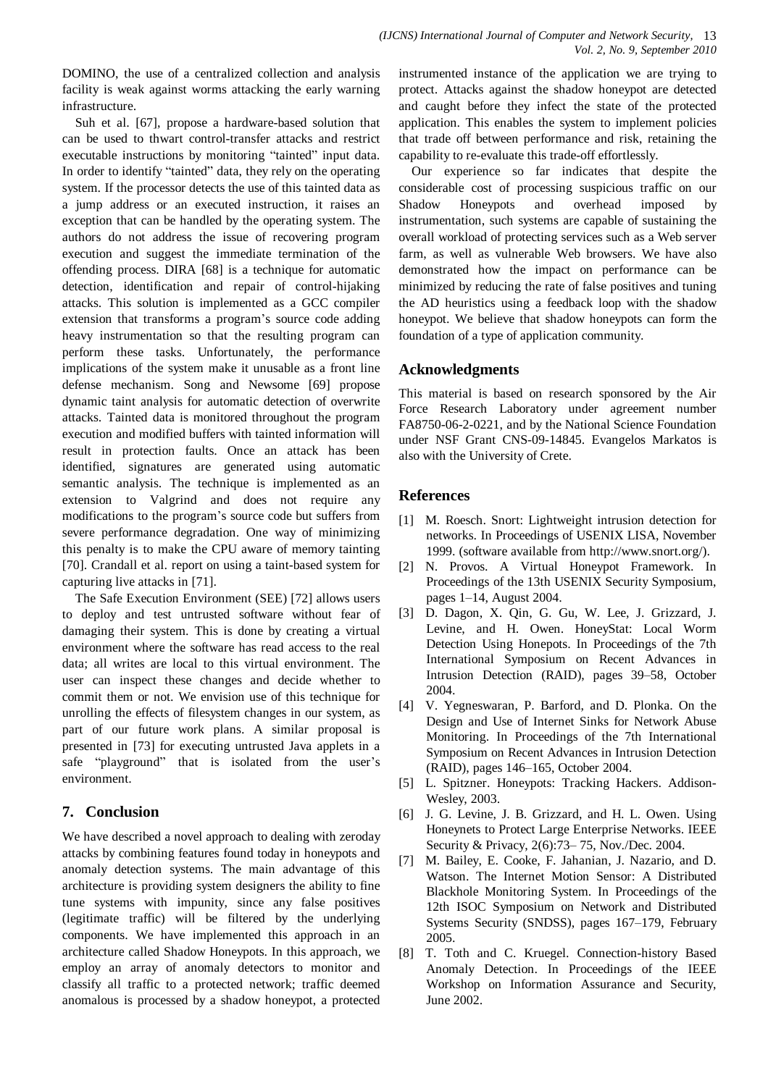DOMINO, the use of a centralized collection and analysis facility is weak against worms attacking the early warning infrastructure.

Suh et al. [67], propose a hardware-based solution that can be used to thwart control-transfer attacks and restrict executable instructions by monitoring "tainted" input data. In order to identify "tainted" data, they rely on the operating system. If the processor detects the use of this tainted data as a jump address or an executed instruction, it raises an exception that can be handled by the operating system. The authors do not address the issue of recovering program execution and suggest the immediate termination of the offending process. DIRA [68] is a technique for automatic detection, identification and repair of control-hijaking attacks. This solution is implemented as a GCC compiler extension that transforms a program's source code adding heavy instrumentation so that the resulting program can perform these tasks. Unfortunately, the performance implications of the system make it unusable as a front line defense mechanism. Song and Newsome [69] propose dynamic taint analysis for automatic detection of overwrite attacks. Tainted data is monitored throughout the program execution and modified buffers with tainted information will result in protection faults. Once an attack has been identified, signatures are generated using automatic semantic analysis. The technique is implemented as an extension to Valgrind and does not require any modifications to the program's source code but suffers from severe performance degradation. One way of minimizing this penalty is to make the CPU aware of memory tainting [70]. Crandall et al. report on using a taint-based system for capturing live attacks in [71].

The Safe Execution Environment (SEE) [72] allows users to deploy and test untrusted software without fear of damaging their system. This is done by creating a virtual environment where the software has read access to the real data; all writes are local to this virtual environment. The user can inspect these changes and decide whether to commit them or not. We envision use of this technique for unrolling the effects of filesystem changes in our system, as part of our future work plans. A similar proposal is presented in [73] for executing untrusted Java applets in a safe "playground" that is isolated from the user's environment.

# **7. Conclusion**

We have described a novel approach to dealing with zeroday attacks by combining features found today in honeypots and anomaly detection systems. The main advantage of this architecture is providing system designers the ability to fine tune systems with impunity, since any false positives (legitimate traffic) will be filtered by the underlying components. We have implemented this approach in an architecture called Shadow Honeypots. In this approach, we employ an array of anomaly detectors to monitor and classify all traffic to a protected network; traffic deemed anomalous is processed by a shadow honeypot, a protected instrumented instance of the application we are trying to protect. Attacks against the shadow honeypot are detected and caught before they infect the state of the protected application. This enables the system to implement policies that trade off between performance and risk, retaining the capability to re-evaluate this trade-off effortlessly.

Our experience so far indicates that despite the considerable cost of processing suspicious traffic on our Shadow Honeypots and overhead imposed by instrumentation, such systems are capable of sustaining the overall workload of protecting services such as a Web server farm, as well as vulnerable Web browsers. We have also demonstrated how the impact on performance can be minimized by reducing the rate of false positives and tuning the AD heuristics using a feedback loop with the shadow honeypot. We believe that shadow honeypots can form the foundation of a type of application community.

# **Acknowledgments**

This material is based on research sponsored by the Air Force Research Laboratory under agreement number FA8750-06-2-0221, and by the National Science Foundation under NSF Grant CNS-09-14845. Evangelos Markatos is also with the University of Crete.

# **References**

- [1] M. Roesch. Snort: Lightweight intrusion detection for networks. In Proceedings of USENIX LISA, November 1999. (software available from http://www.snort.org/).
- [2] N. Provos. A Virtual Honeypot Framework. In Proceedings of the 13th USENIX Security Symposium, pages 1–14, August 2004.
- [3] D. Dagon, X. Qin, G. Gu, W. Lee, J. Grizzard, J. Levine, and H. Owen. HoneyStat: Local Worm Detection Using Honepots. In Proceedings of the 7th International Symposium on Recent Advances in Intrusion Detection (RAID), pages 39–58, October 2004.
- [4] V. Yegneswaran, P. Barford, and D. Plonka. On the Design and Use of Internet Sinks for Network Abuse Monitoring. In Proceedings of the 7th International Symposium on Recent Advances in Intrusion Detection (RAID), pages 146–165, October 2004.
- [5] L. Spitzner. Honeypots: Tracking Hackers. Addison-Wesley, 2003.
- [6] J. G. Levine, J. B. Grizzard, and H. L. Owen. Using Honeynets to Protect Large Enterprise Networks. IEEE Security & Privacy, 2(6):73– 75, Nov./Dec. 2004.
- [7] M. Bailey, E. Cooke, F. Jahanian, J. Nazario, and D. Watson. The Internet Motion Sensor: A Distributed Blackhole Monitoring System. In Proceedings of the 12th ISOC Symposium on Network and Distributed Systems Security (SNDSS), pages 167–179, February 2005.
- [8] T. Toth and C. Kruegel. Connection-history Based Anomaly Detection. In Proceedings of the IEEE Workshop on Information Assurance and Security, June 2002.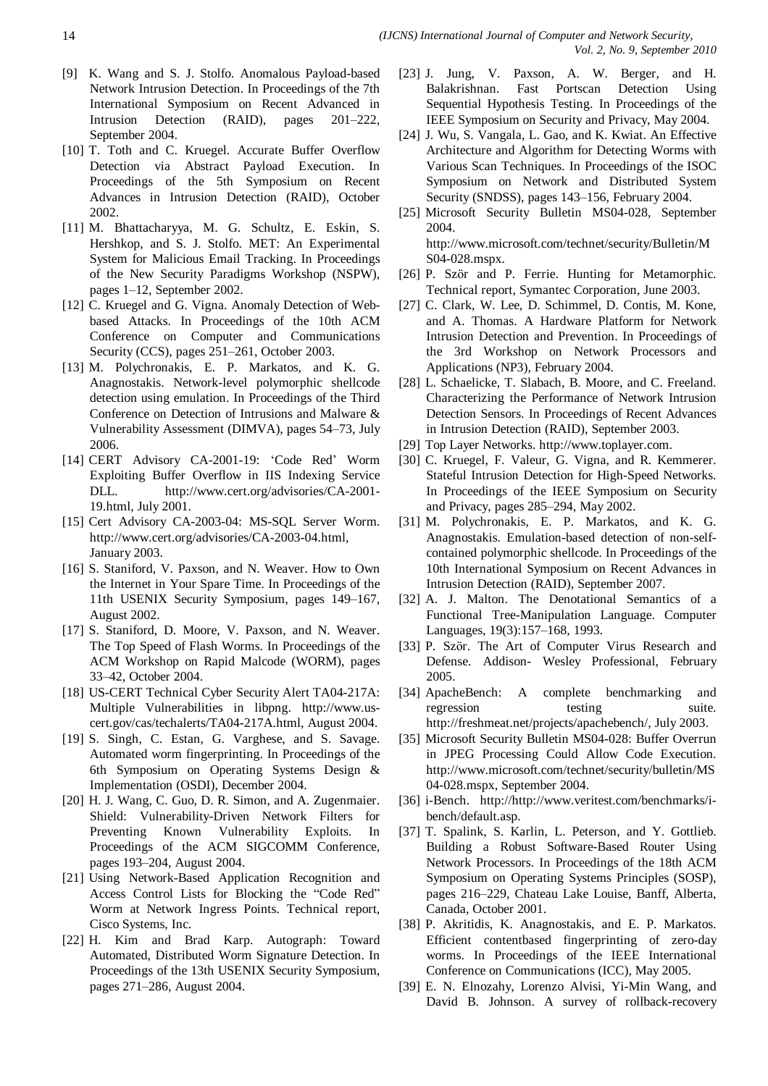- [9] K. Wang and S. J. Stolfo. Anomalous Payload-based Network Intrusion Detection. In Proceedings of the 7th International Symposium on Recent Advanced in Intrusion Detection (RAID), pages 201–222, September 2004.
- [10] T. Toth and C. Kruegel. Accurate Buffer Overflow Detection via Abstract Payload Execution. In Proceedings of the 5th Symposium on Recent Advances in Intrusion Detection (RAID), October 2002.
- [11] M. Bhattacharyya, M. G. Schultz, E. Eskin, S. Hershkop, and S. J. Stolfo. MET: An Experimental System for Malicious Email Tracking. In Proceedings of the New Security Paradigms Workshop (NSPW), pages 1–12, September 2002.
- [12] C. Kruegel and G. Vigna. Anomaly Detection of Webbased Attacks. In Proceedings of the 10th ACM Conference on Computer and Communications Security (CCS), pages 251–261, October 2003.
- [13] M. Polychronakis, E. P. Markatos, and K. G. Anagnostakis. Network-level polymorphic shellcode detection using emulation. In Proceedings of the Third Conference on Detection of Intrusions and Malware & Vulnerability Assessment (DIMVA), pages 54–73, July 2006.
- [14] CERT Advisory CA-2001-19: 'Code Red' Worm Exploiting Buffer Overflow in IIS Indexing Service DLL. http://www.cert.org/advisories/CA-2001- 19.html, July 2001.
- [15] Cert Advisory CA-2003-04: MS-SQL Server Worm. http://www.cert.org/advisories/CA-2003-04.html, January 2003.
- [16] S. Staniford, V. Paxson, and N. Weaver. How to Own the Internet in Your Spare Time. In Proceedings of the 11th USENIX Security Symposium, pages 149–167, August 2002.
- [17] S. Staniford, D. Moore, V. Paxson, and N. Weaver. The Top Speed of Flash Worms. In Proceedings of the ACM Workshop on Rapid Malcode (WORM), pages 33–42, October 2004.
- [18] US-CERT Technical Cyber Security Alert TA04-217A: Multiple Vulnerabilities in libpng. http://www.uscert.gov/cas/techalerts/TA04-217A.html, August 2004.
- [19] S. Singh, C. Estan, G. Varghese, and S. Savage. Automated worm fingerprinting. In Proceedings of the 6th Symposium on Operating Systems Design & Implementation (OSDI), December 2004.
- [20] H. J. Wang, C. Guo, D. R. Simon, and A. Zugenmaier. Shield: Vulnerability-Driven Network Filters for Preventing Known Vulnerability Exploits. In Proceedings of the ACM SIGCOMM Conference, pages 193–204, August 2004.
- [21] Using Network-Based Application Recognition and Access Control Lists for Blocking the "Code Red" Worm at Network Ingress Points. Technical report, Cisco Systems, Inc.
- [22] H. Kim and Brad Karp. Autograph: Toward Automated, Distributed Worm Signature Detection. In Proceedings of the 13th USENIX Security Symposium, pages 271–286, August 2004.
- [23] J. Jung, V. Paxson, A. W. Berger, and H. Balakrishnan. Fast Portscan Detection Using Sequential Hypothesis Testing. In Proceedings of the IEEE Symposium on Security and Privacy, May 2004.
- [24] J. Wu, S. Vangala, L. Gao, and K. Kwiat. An Effective Architecture and Algorithm for Detecting Worms with Various Scan Techniques. In Proceedings of the ISOC Symposium on Network and Distributed System Security (SNDSS), pages 143–156, February 2004.
- [25] Microsoft Security Bulletin MS04-028, September 2004. http://www.microsoft.com/technet/security/Bulletin/M
	- S04-028.mspx.
- [26] P. Ször and P. Ferrie. Hunting for Metamorphic. Technical report, Symantec Corporation, June 2003.
- [27] C. Clark, W. Lee, D. Schimmel, D. Contis, M. Kone, and A. Thomas. A Hardware Platform for Network Intrusion Detection and Prevention. In Proceedings of the 3rd Workshop on Network Processors and Applications (NP3), February 2004.
- [28] L. Schaelicke, T. Slabach, B. Moore, and C. Freeland. Characterizing the Performance of Network Intrusion Detection Sensors. In Proceedings of Recent Advances in Intrusion Detection (RAID), September 2003.
- [29] Top Layer Networks. http://www.toplayer.com.
- [30] C. Kruegel, F. Valeur, G. Vigna, and R. Kemmerer. Stateful Intrusion Detection for High-Speed Networks. In Proceedings of the IEEE Symposium on Security and Privacy, pages 285–294, May 2002.
- [31] M. Polychronakis, E. P. Markatos, and K. G. Anagnostakis. Emulation-based detection of non-selfcontained polymorphic shellcode. In Proceedings of the 10th International Symposium on Recent Advances in Intrusion Detection (RAID), September 2007.
- [32] A. J. Malton. The Denotational Semantics of a Functional Tree-Manipulation Language. Computer Languages, 19(3):157–168, 1993.
- [33] P. Ször. The Art of Computer Virus Research and Defense. Addison- Wesley Professional, February 2005.
- [34] ApacheBench: A complete benchmarking and regression testing suite. http://freshmeat.net/projects/apachebench/, July 2003.
- [35] Microsoft Security Bulletin MS04-028: Buffer Overrun in JPEG Processing Could Allow Code Execution. http://www.microsoft.com/technet/security/bulletin/MS 04-028.mspx, September 2004.
- [36] i-Bench. http://http://www.veritest.com/benchmarks/ibench/default.asp.
- [37] T. Spalink, S. Karlin, L. Peterson, and Y. Gottlieb. Building a Robust Software-Based Router Using Network Processors. In Proceedings of the 18th ACM Symposium on Operating Systems Principles (SOSP), pages 216–229, Chateau Lake Louise, Banff, Alberta, Canada, October 2001.
- [38] P. Akritidis, K. Anagnostakis, and E. P. Markatos. Efficient contentbased fingerprinting of zero-day worms. In Proceedings of the IEEE International Conference on Communications (ICC), May 2005.
- [39] E. N. Elnozahy, Lorenzo Alvisi, Yi-Min Wang, and David B. Johnson. A survey of rollback-recovery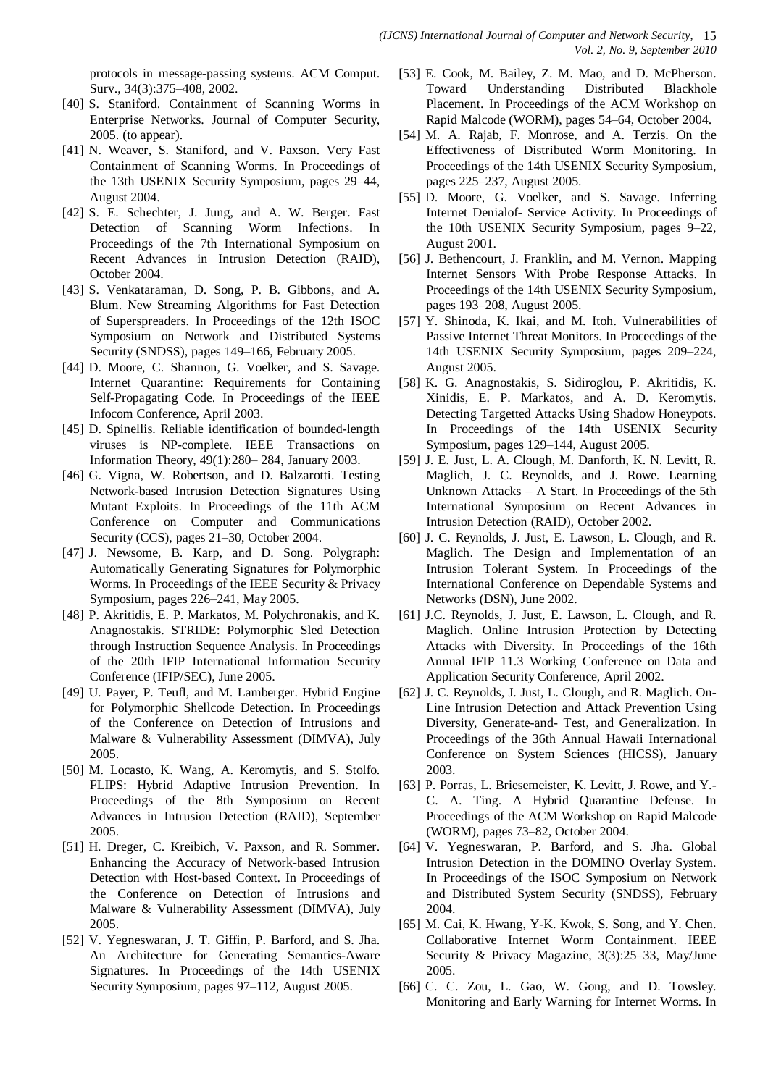*(IJCNS) International Journal of Computer and Network Security,*  15 *Vol. 2, No. 9, September 2010* 

protocols in message-passing systems. ACM Comput. Surv., 34(3):375–408, 2002.

- [40] S. Staniford. Containment of Scanning Worms in Enterprise Networks. Journal of Computer Security, 2005. (to appear).
- [41] N. Weaver, S. Staniford, and V. Paxson. Very Fast Containment of Scanning Worms. In Proceedings of the 13th USENIX Security Symposium, pages 29–44, August 2004.
- [42] S. E. Schechter, J. Jung, and A. W. Berger. Fast Detection of Scanning Worm Infections. In Proceedings of the 7th International Symposium on Recent Advances in Intrusion Detection (RAID), October 2004.
- [43] S. Venkataraman, D. Song, P. B. Gibbons, and A. Blum. New Streaming Algorithms for Fast Detection of Superspreaders. In Proceedings of the 12th ISOC Symposium on Network and Distributed Systems Security (SNDSS), pages 149–166, February 2005.
- [44] D. Moore, C. Shannon, G. Voelker, and S. Savage. Internet Quarantine: Requirements for Containing Self-Propagating Code. In Proceedings of the IEEE Infocom Conference, April 2003.
- [45] D. Spinellis. Reliable identification of bounded-length viruses is NP-complete. IEEE Transactions on Information Theory, 49(1):280– 284, January 2003.
- [46] G. Vigna, W. Robertson, and D. Balzarotti. Testing Network-based Intrusion Detection Signatures Using Mutant Exploits. In Proceedings of the 11th ACM Conference on Computer and Communications Security (CCS), pages 21–30, October 2004.
- [47] J. Newsome, B. Karp, and D. Song. Polygraph: Automatically Generating Signatures for Polymorphic Worms. In Proceedings of the IEEE Security & Privacy Symposium, pages 226–241, May 2005.
- [48] P. Akritidis, E. P. Markatos, M. Polychronakis, and K. Anagnostakis. STRIDE: Polymorphic Sled Detection through Instruction Sequence Analysis. In Proceedings of the 20th IFIP International Information Security Conference (IFIP/SEC), June 2005.
- [49] U. Payer, P. Teufl, and M. Lamberger. Hybrid Engine for Polymorphic Shellcode Detection. In Proceedings of the Conference on Detection of Intrusions and Malware & Vulnerability Assessment (DIMVA), July 2005.
- [50] M. Locasto, K. Wang, A. Keromytis, and S. Stolfo. FLIPS: Hybrid Adaptive Intrusion Prevention. In Proceedings of the 8th Symposium on Recent Advances in Intrusion Detection (RAID), September 2005.
- [51] H. Dreger, C. Kreibich, V. Paxson, and R. Sommer. Enhancing the Accuracy of Network-based Intrusion Detection with Host-based Context. In Proceedings of the Conference on Detection of Intrusions and Malware & Vulnerability Assessment (DIMVA), July 2005.
- [52] V. Yegneswaran, J. T. Giffin, P. Barford, and S. Jha. An Architecture for Generating Semantics-Aware Signatures. In Proceedings of the 14th USENIX Security Symposium, pages 97–112, August 2005.
- [53] E. Cook, M. Bailey, Z. M. Mao, and D. McPherson. Toward Understanding Distributed Blackhole Placement. In Proceedings of the ACM Workshop on Rapid Malcode (WORM), pages 54–64, October 2004.
- [54] M. A. Rajab, F. Monrose, and A. Terzis. On the Effectiveness of Distributed Worm Monitoring. In Proceedings of the 14th USENIX Security Symposium, pages 225–237, August 2005.
- [55] D. Moore, G. Voelker, and S. Savage. Inferring Internet Denialof- Service Activity. In Proceedings of the 10th USENIX Security Symposium, pages 9–22, August 2001.
- [56] J. Bethencourt, J. Franklin, and M. Vernon. Mapping Internet Sensors With Probe Response Attacks. In Proceedings of the 14th USENIX Security Symposium, pages 193–208, August 2005.
- [57] Y. Shinoda, K. Ikai, and M. Itoh. Vulnerabilities of Passive Internet Threat Monitors. In Proceedings of the 14th USENIX Security Symposium, pages 209–224, August 2005.
- [58] K. G. Anagnostakis, S. Sidiroglou, P. Akritidis, K. Xinidis, E. P. Markatos, and A. D. Keromytis. Detecting Targetted Attacks Using Shadow Honeypots. In Proceedings of the 14th USENIX Security Symposium, pages 129–144, August 2005.
- [59] J. E. Just, L. A. Clough, M. Danforth, K. N. Levitt, R. Maglich, J. C. Reynolds, and J. Rowe. Learning Unknown Attacks – A Start. In Proceedings of the 5th International Symposium on Recent Advances in Intrusion Detection (RAID), October 2002.
- [60] J. C. Reynolds, J. Just, E. Lawson, L. Clough, and R. Maglich. The Design and Implementation of an Intrusion Tolerant System. In Proceedings of the International Conference on Dependable Systems and Networks (DSN), June 2002.
- [61] J.C. Reynolds, J. Just, E. Lawson, L. Clough, and R. Maglich. Online Intrusion Protection by Detecting Attacks with Diversity. In Proceedings of the 16th Annual IFIP 11.3 Working Conference on Data and Application Security Conference, April 2002.
- [62] J. C. Reynolds, J. Just, L. Clough, and R. Maglich. On-Line Intrusion Detection and Attack Prevention Using Diversity, Generate-and- Test, and Generalization. In Proceedings of the 36th Annual Hawaii International Conference on System Sciences (HICSS), January 2003.
- [63] P. Porras, L. Briesemeister, K. Levitt, J. Rowe, and Y.-C. A. Ting. A Hybrid Quarantine Defense. In Proceedings of the ACM Workshop on Rapid Malcode (WORM), pages 73–82, October 2004.
- [64] V. Yegneswaran, P. Barford, and S. Jha. Global Intrusion Detection in the DOMINO Overlay System. In Proceedings of the ISOC Symposium on Network and Distributed System Security (SNDSS), February 2004.
- [65] M. Cai, K. Hwang, Y-K. Kwok, S. Song, and Y. Chen. Collaborative Internet Worm Containment. IEEE Security & Privacy Magazine, 3(3):25–33, May/June 2005.
- [66] C. C. Zou, L. Gao, W. Gong, and D. Towsley. Monitoring and Early Warning for Internet Worms. In